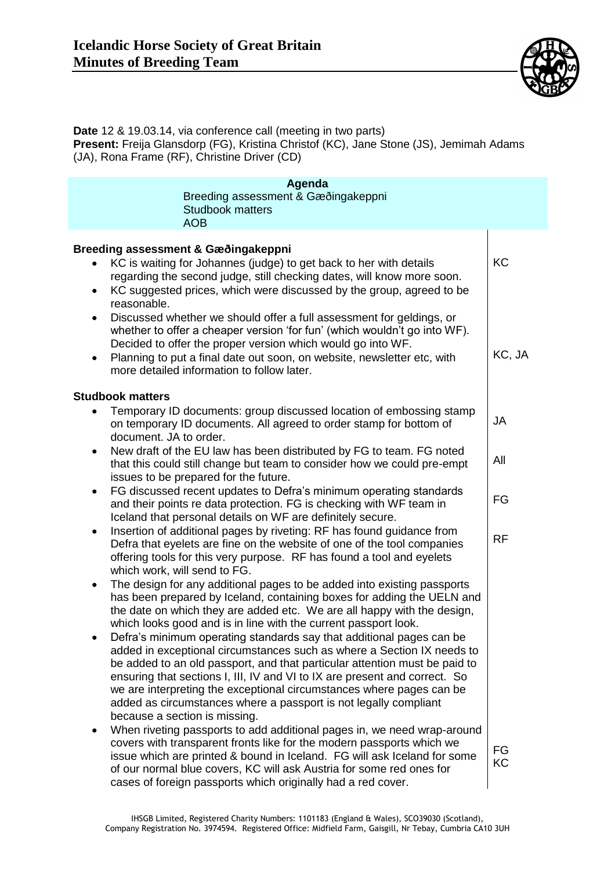

**Date** 12 & 19.03.14, via conference call (meeting in two parts) **Present:** Freija Glansdorp (FG), Kristina Christof (KC), Jane Stone (JS), Jemimah Adams (JA), Rona Frame (RF), Christine Driver (CD)

| Agenda<br>Breeding assessment & Gæðingakeppni<br><b>Studbook matters</b><br><b>AOB</b>                                                                                                                                                                                                                                                                                                                                                                                                  |           |
|-----------------------------------------------------------------------------------------------------------------------------------------------------------------------------------------------------------------------------------------------------------------------------------------------------------------------------------------------------------------------------------------------------------------------------------------------------------------------------------------|-----------|
| Breeding assessment & Gæðingakeppni<br>KC is waiting for Johannes (judge) to get back to her with details<br>regarding the second judge, still checking dates, will know more soon.<br>KC suggested prices, which were discussed by the group, agreed to be<br>$\bullet$<br>reasonable.<br>Discussed whether we should offer a full assessment for geldings, or<br>$\bullet$<br>whether to offer a cheaper version 'for fun' (which wouldn't go into WF).                               | KC        |
| Decided to offer the proper version which would go into WF.<br>Planning to put a final date out soon, on website, newsletter etc, with<br>٠<br>more detailed information to follow later.                                                                                                                                                                                                                                                                                               | KC, JA    |
| <b>Studbook matters</b>                                                                                                                                                                                                                                                                                                                                                                                                                                                                 |           |
| Temporary ID documents: group discussed location of embossing stamp<br>on temporary ID documents. All agreed to order stamp for bottom of<br>document. JA to order.                                                                                                                                                                                                                                                                                                                     | <b>JA</b> |
| New draft of the EU law has been distributed by FG to team. FG noted<br>$\bullet$<br>that this could still change but team to consider how we could pre-empt<br>issues to be prepared for the future.                                                                                                                                                                                                                                                                                   | All       |
| FG discussed recent updates to Defra's minimum operating standards<br>$\bullet$<br>and their points re data protection. FG is checking with WF team in<br>Iceland that personal details on WF are definitely secure.                                                                                                                                                                                                                                                                    | FG        |
| Insertion of additional pages by riveting: RF has found guidance from<br>$\bullet$<br>Defra that eyelets are fine on the website of one of the tool companies<br>offering tools for this very purpose. RF has found a tool and eyelets<br>which work, will send to FG.                                                                                                                                                                                                                  | <b>RF</b> |
| The design for any additional pages to be added into existing passports<br>$\bullet$<br>has been prepared by Iceland, containing boxes for adding the UELN and<br>the date on which they are added etc. We are all happy with the design,<br>which looks good and is in line with the current passport look.                                                                                                                                                                            |           |
| Defra's minimum operating standards say that additional pages can be<br>added in exceptional circumstances such as where a Section IX needs to<br>be added to an old passport, and that particular attention must be paid to<br>ensuring that sections I, III, IV and VI to IX are present and correct. So<br>we are interpreting the exceptional circumstances where pages can be<br>added as circumstances where a passport is not legally compliant<br>because a section is missing. |           |
| When riveting passports to add additional pages in, we need wrap-around<br>$\bullet$<br>covers with transparent fronts like for the modern passports which we<br>issue which are printed & bound in Iceland. FG will ask Iceland for some<br>of our normal blue covers, KC will ask Austria for some red ones for<br>cases of foreign passports which originally had a red cover.                                                                                                       | FG<br>KC  |